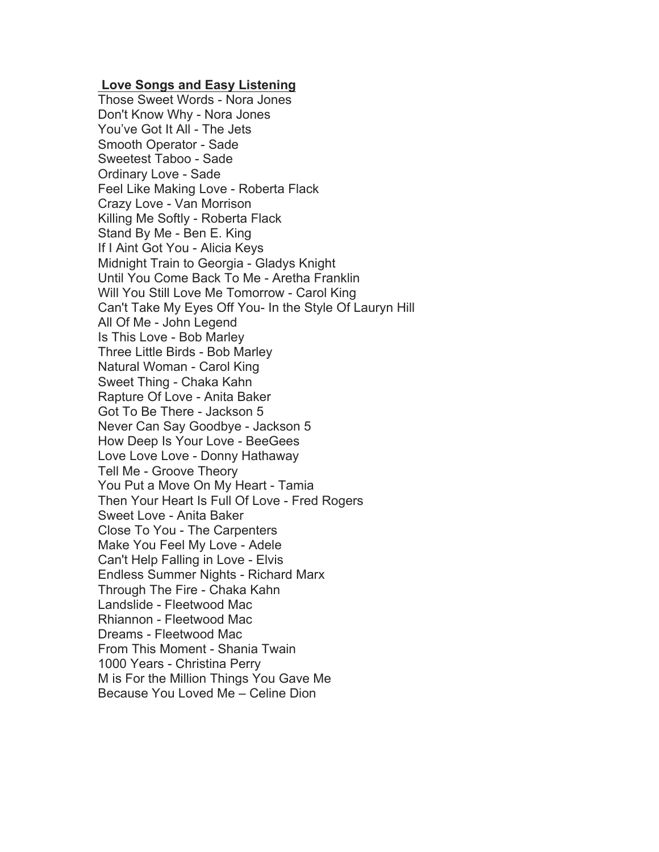## **Love Songs and Easy Listening**

Those Sweet Words - Nora Jones Don't Know Why - Nora Jones You've Got It All - The Jets Smooth Operator - Sade Sweetest Taboo - Sade Ordinary Love - Sade Feel Like Making Love - Roberta Flack Crazy Love - Van Morrison Killing Me Softly - Roberta Flack Stand By Me - Ben E. King If I Aint Got You - Alicia Keys Midnight Train to Georgia - Gladys Knight Until You Come Back To Me - Aretha Franklin Will You Still Love Me Tomorrow - Carol King Can't Take My Eyes Off You- In the Style Of Lauryn Hill All Of Me - John Legend Is This Love - Bob Marley Three Little Birds - Bob Marley Natural Woman - Carol King Sweet Thing - Chaka Kahn Rapture Of Love - Anita Baker Got To Be There - Jackson 5 Never Can Say Goodbye - Jackson 5 How Deep Is Your Love - BeeGees Love Love Love - Donny Hathaway Tell Me - Groove Theory You Put a Move On My Heart - Tamia Then Your Heart Is Full Of Love - Fred Rogers Sweet Love - Anita Baker Close To You - The Carpenters Make You Feel My Love - Adele Can't Help Falling in Love - Elvis Endless Summer Nights - Richard Marx Through The Fire - Chaka Kahn Landslide - Fleetwood Mac Rhiannon - Fleetwood Mac Dreams - Fleetwood Mac From This Moment - Shania Twain 1000 Years - Christina Perry M is For the Million Things You Gave Me Because You Loved Me – Celine Dion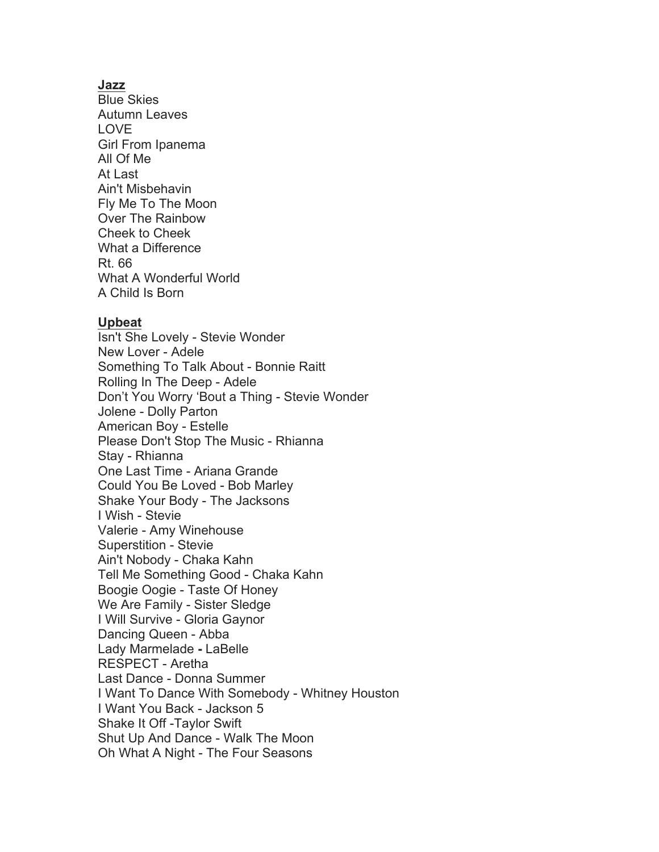## **Jazz**

Blue Skies Autumn Leaves LOVE Girl From Ipanema All Of Me At Last Ain't Misbehavin Fly Me To The Moon Over The Rainbow Cheek to Cheek What a Difference Rt. 66 What A Wonderful World A Child Is Born

## **Upbeat**

Isn't She Lovely - Stevie Wonder New Lover - Adele Something To Talk About - Bonnie Raitt Rolling In The Deep - Adele Don't You Worry 'Bout a Thing - Stevie Wonder Jolene - Dolly Parton American Boy - Estelle Please Don't Stop The Music - Rhianna Stay - Rhianna One Last Time - Ariana Grande Could You Be Loved - Bob Marley Shake Your Body - The Jacksons I Wish - Stevie Valerie - Amy Winehouse Superstition - Stevie Ain't Nobody - Chaka Kahn Tell Me Something Good - Chaka Kahn Boogie Oogie - Taste Of Honey We Are Family - Sister Sledge I Will Survive - Gloria Gaynor Dancing Queen - Abba Lady Marmelade **-** LaBelle RESPECT - Aretha Last Dance - Donna Summer I Want To Dance With Somebody - Whitney Houston I Want You Back - Jackson 5 Shake It Off -Taylor Swift Shut Up And Dance - Walk The Moon Oh What A Night - The Four Seasons